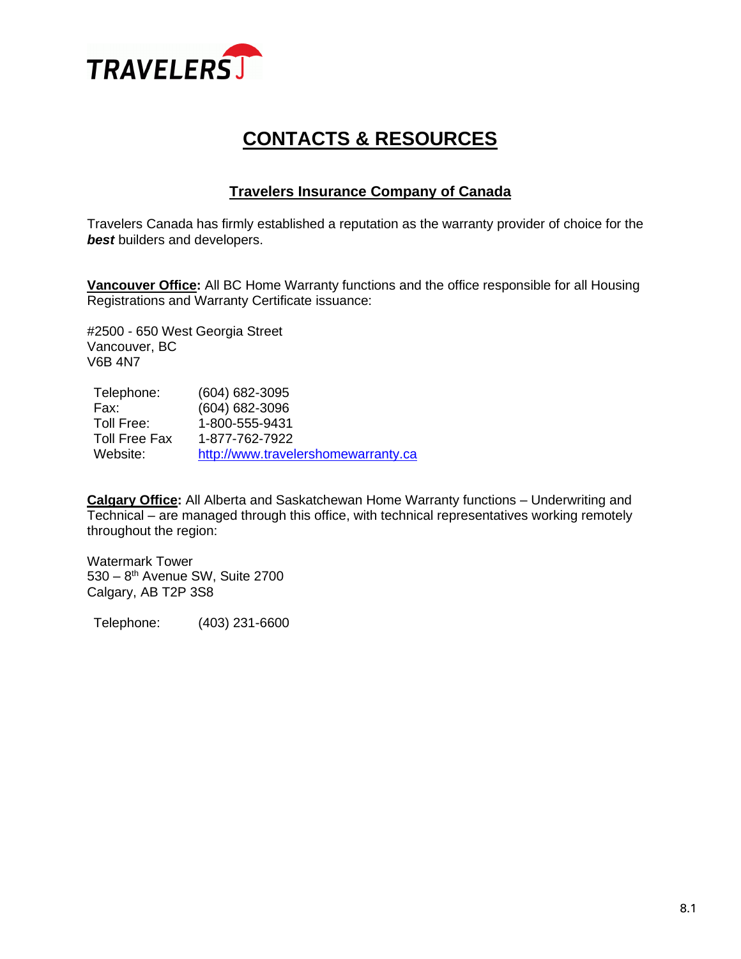

# **CONTACTS & RESOURCES**

## **Travelers Insurance Company of Canada**

Travelers Canada has firmly established a reputation as the warranty provider of choice for the **best** builders and developers.

**Vancouver Office:** All BC Home Warranty functions and the office responsible for all Housing Registrations and Warranty Certificate issuance:

#2500 - 650 West Georgia Street Vancouver, BC V6B 4N7

| Telephone:           | $(604) 682 - 3095$                  |
|----------------------|-------------------------------------|
| Fax:                 | $(604) 682 - 3096$                  |
| Toll Free:           | 1-800-555-9431                      |
| <b>Toll Free Fax</b> | 1-877-762-7922                      |
| Website:             | http://www.travelershomewarranty.ca |

**Calgary Office:** All Alberta and Saskatchewan Home Warranty functions – Underwriting and Technical – are managed through this office, with technical representatives working remotely throughout the region:

Watermark Tower 530 – 8<sup>th</sup> Avenue SW, Suite 2700 Calgary, AB T2P 3S8

Telephone: (403) 231-6600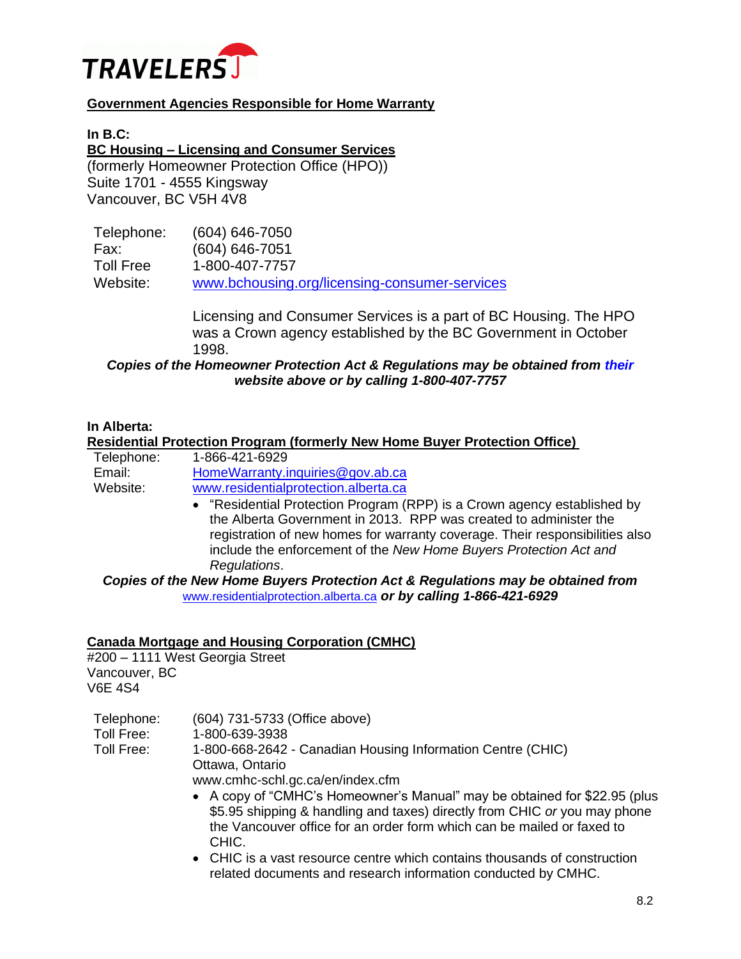

## **Government Agencies Responsible for Home Warranty**

**In B.C:**

**BC Housing – Licensing and Consumer Services** (formerly Homeowner Protection Office (HPO))

Suite 1701 - 4555 Kingsway Vancouver, BC V5H 4V8

| Telephone:       | $(604) 646 - 7050$                            |
|------------------|-----------------------------------------------|
| Fax:             | $(604) 646 - 7051$                            |
| <b>Toll Free</b> | 1-800-407-7757                                |
| Website:         | www.bchousing.org/licensing-consumer-services |

Licensing and Consumer Services is a part of BC Housing. The HPO was a Crown agency established by the BC Government in October 1998.

*Copies of the Homeowner Protection Act & Regulations may be obtained from [their](http://www.hpo.bc.ca/) website above or by calling 1-800-407-7757*

#### **In Alberta:**

#### **Residential Protection Program (formerly New Home Buyer Protection Office)**

| Telephone: | 1-866-421-6929                       |
|------------|--------------------------------------|
| Email:     | HomeWarranty.inquiries@gov.ab.ca     |
| Website:   | www.residentialprotection.alberta.ca |

• "Residential Protection Program (RPP) is a Crown agency established by the Alberta Government in 2013. RPP was created to administer the registration of new homes for warranty coverage. Their responsibilities also include the enforcement of the *New Home Buyers Protection Act and Regulations*.

*Copies of the New Home Buyers Protection Act & Regulations may be obtained from*  [www.residentialprotection.alberta.ca](http://www.residentialprotection.alberta.ca/) *or by calling 1-866-421-6929*

#### **Canada Mortgage and Housing Corporation (CMHC)**

#200 – 1111 West Georgia Street Vancouver, BC V6E 4S4

Telephone: (604) 731-5733 (Office above) Toll Free: 1-800-639-3938 Toll Free: 1-800-668-2642 - Canadian Housing Information Centre (CHIC) Ottawa, Ontario

www.cmhc-schl.gc.ca/en/index.cfm

- A copy of "CMHC's Homeowner's Manual" may be obtained for \$22.95 (plus \$5.95 shipping & handling and taxes) directly from CHIC *or* you may phone the Vancouver office for an order form which can be mailed or faxed to CHIC.
- CHIC is a vast resource centre which contains thousands of construction related documents and research information conducted by CMHC.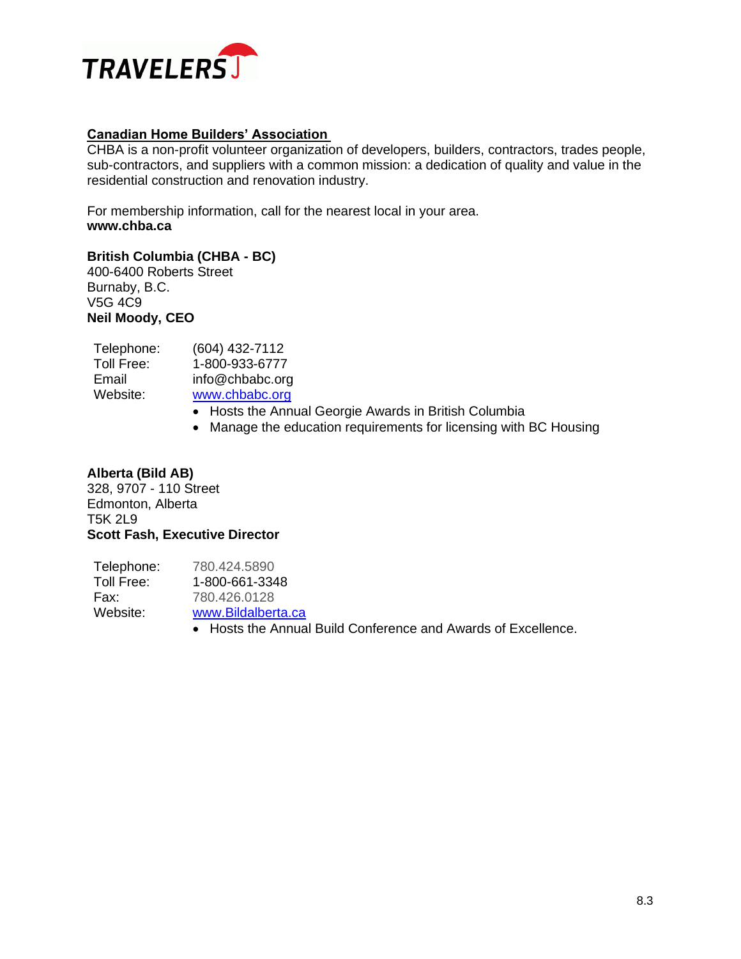

### **Canadian Home Builders' Association**

CHBA is a non-profit volunteer organization of developers, builders, contractors, trades people, sub-contractors, and suppliers with a common mission: a dedication of quality and value in the residential construction and renovation industry.

For membership information, call for the nearest local in your area. **www.chba.ca**

#### **British Columbia (CHBA - BC)**

400-6400 Roberts Street Burnaby, B.C. V5G 4C9 **Neil Moody, CEO**

| Telephone: | (604) 432-7112  |
|------------|-----------------|
| Toll Free: | 1-800-933-6777  |
| Email      | info@chbabc.org |
| Website:   | www.chbabc.org  |
|            | Hosts the Anni  |

- Hosts the Annual Georgie Awards in British Columbia
- Manage the education requirements for licensing with BC Housing

## **Alberta (Bild AB)**

328, 9707 - 110 Street Edmonton, Alberta T5K 2L9 **Scott Fash, Executive Director**

| Telephone: | 780.424.5890                                                  |
|------------|---------------------------------------------------------------|
| Toll Free: | 1-800-661-3348                                                |
| Fax:       | 780.426.0128                                                  |
| Website:   | www.Bildalberta.ca                                            |
|            | • Hosts the Annual Build Conference and Awards of Excellence. |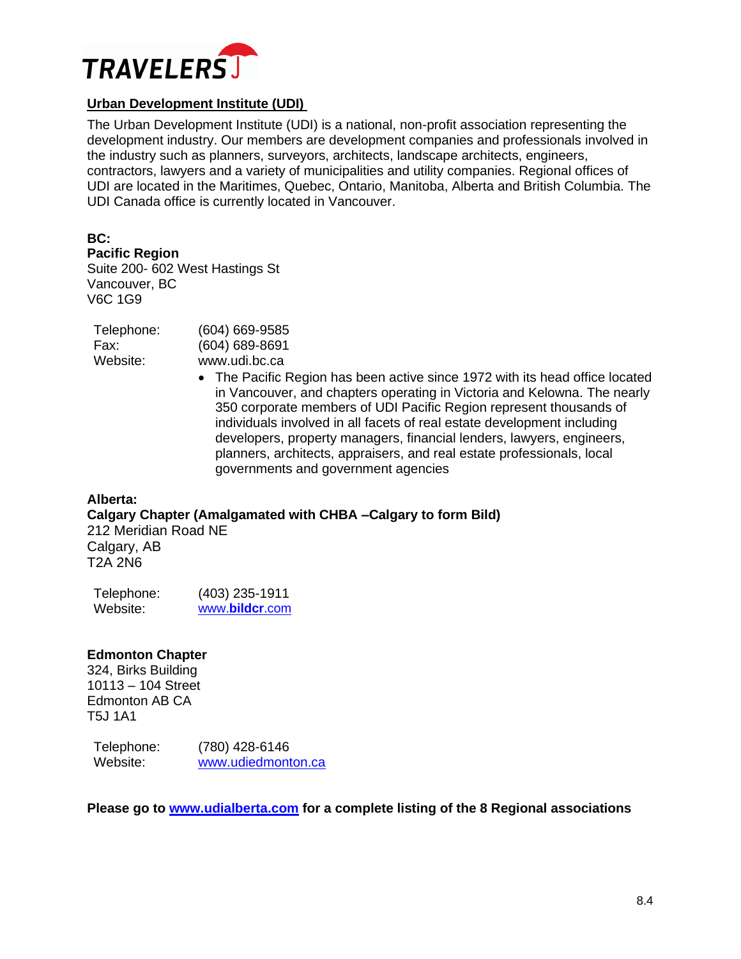

## **Urban Development Institute (UDI)**

The Urban Development Institute (UDI) is a national, non-profit association representing the development industry. Our members are development companies and professionals involved in the industry such as planners, surveyors, architects, landscape architects, engineers, contractors, lawyers and a variety of municipalities and utility companies. Regional offices of UDI are located in the Maritimes, Quebec, Ontario, Manitoba, Alberta and British Columbia. The UDI Canada office is currently located in Vancouver.

**BC:**

**Pacific Region**

Suite 200- 602 West Hastings St Vancouver, BC V6C 1G9

| (604) 669-9585     |
|--------------------|
| $(604) 689 - 8691$ |
| www.udi.bc.ca      |
|                    |

• The Pacific Region has been active since 1972 with its head office located in Vancouver, and chapters operating in Victoria and Kelowna. The nearly 350 corporate members of UDI Pacific Region represent thousands of individuals involved in all facets of real estate development including developers, property managers, financial lenders, lawyers, engineers, planners, architects, appraisers, and real estate professionals, local governments and government agencies

**Alberta: Calgary Chapter (Amalgamated with CHBA –Calgary to form Bild)**  212 Meridian Road NE Calgary, AB T2A 2N6

| Telephone: | $(403)$ 235-1911 |
|------------|------------------|
| Website:   | www.bildcr.com   |

## **Edmonton Chapter**

324, Birks Building 10113 – 104 Street Edmonton AB CA T5J 1A1

Telephone: (780) 428-6146 Website: [www.udiedmonton.ca](http://www.udiedmonton.ca/)

**Please go to [www.udialberta.com](http://www.udialberta.com/) for a complete listing of the 8 Regional associations**